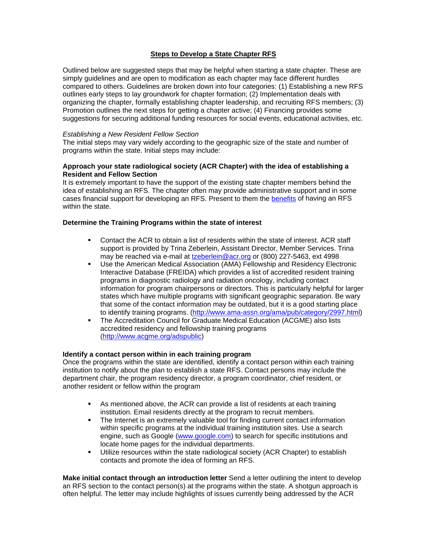# **Steps to Develop a State Chapter RFS**

Outlined below are suggested steps that may be helpful when starting a state chapter. These are simply guidelines and are open to modification as each chapter may face different hurdles compared to others. Guidelines are broken down into four categories: (1) Establishing a new RFS outlines early steps to lay groundwork for chapter formation; (2) Implementation deals with organizing the chapter, formally establishing chapter leadership, and recruiting RFS members; (3) Promotion outlines the next steps for getting a chapter active; (4) Financing provides some suggestions for securing additional funding resources for social events, educational activities, etc.

## *Establishing a New Resident Fellow Section*

The initial steps may vary widely according to the geographic size of the state and number of programs within the state. Initial steps may include:

## **Approach your state radiological society (ACR Chapter) with the idea of establishing a Resident and Fellow Section**

It is extremely important to have the support of the existing state chapter members behind the idea of establishing an RFS. The chapter often may provide administrative support and in some cases financial support for developing an RFS. Present to them the [benefits](#page-3-0) of having an RFS within the state.

## **Determine the Training Programs within the state of interest**

- Contact the ACR to obtain a list of residents within the state of interest. ACR staff support is provided by Trina Zeberlein, Assistant Director, Member Services. Trina may be reached via e-mail at [tzeberlein@acr.org](mailto:tzeberlein@acr.org) or (800) 227-5463, ext 4998
- Use the American Medical Association (AMA) Fellowship and Residency Electronic Interactive Database (FREIDA) which provides a list of accredited resident training programs in diagnostic radiology and radiation oncology, including contact information for program chairpersons or directors. This is particularly helpful for larger states which have multiple programs with significant geographic separation. Be wary that some of the contact information may be outdated, but it is a good starting place to identify training programs. [\(http://www.ama-assn.org/ama/pub/category/2997.html](http://www.ama-assn.org/ama/pub/category/2997.html))
- The Accreditation Council for Graduate Medical Education (ACGME) also lists accredited residency and fellowship training programs [\(http://www.acgme.org/adspublic](http://www.acgme.org/adspublic))

### **Identify a contact person within in each training program**

Once the programs within the state are identified, identify a contact person within each training institution to notify about the plan to establish a state RFS. Contact persons may include the department chair, the program residency director, a program coordinator, chief resident, or another resident or fellow within the program

- As mentioned above, the ACR can provide a list of residents at each training institution. Email residents directly at the program to recruit members.
- The Internet is an extremely valuable tool for finding current contact information within specific programs at the individual training institution sites. Use a search engine, such as Google [\(www.google.com](http://www.google.com/)) to search for specific institutions and locate home pages for the individual departments.
- **Utilize resources within the state radiological society (ACR Chapter) to establish** contacts and promote the idea of forming an RFS.

**Make initial contact through an introduction letter** Send a letter outlining the intent to develop an RFS section to the contact person(s) at the programs within the state. A shotgun approach is often helpful. The letter may include highlights of issues currently being addressed by the ACR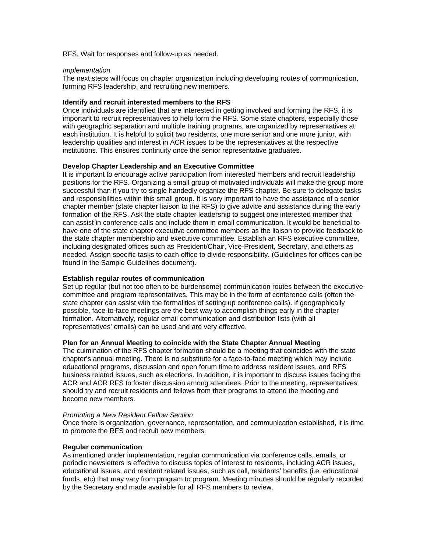RFS. Wait for responses and follow-up as needed.

#### *Implementation*

The next steps will focus on chapter organization including developing routes of communication, forming RFS leadership, and recruiting new members.

### **Identify and recruit interested members to the RFS**

Once individuals are identified that are interested in getting involved and forming the RFS, it is important to recruit representatives to help form the RFS. Some state chapters, especially those with geographic separation and multiple training programs, are organized by representatives at each institution. It is helpful to solicit two residents, one more senior and one more junior, with leadership qualities and interest in ACR issues to be the representatives at the respective institutions. This ensures continuity once the senior representative graduates.

### **Develop Chapter Leadership and an Executive Committee**

It is important to encourage active participation from interested members and recruit leadership positions for the RFS. Organizing a small group of motivated individuals will make the group more successful than if you try to single handedly organize the RFS chapter. Be sure to delegate tasks and responsibilities within this small group. It is very important to have the assistance of a senior chapter member (state chapter liaison to the RFS) to give advice and assistance during the early formation of the RFS. Ask the state chapter leadership to suggest one interested member that can assist in conference calls and include them in email communication. It would be beneficial to have one of the state chapter executive committee members as the liaison to provide feedback to the state chapter membership and executive committee. Establish an RFS executive committee, including designated offices such as President/Chair, Vice-President, Secretary, and others as needed. Assign specific tasks to each office to divide responsibility. (Guidelines for offices can be found in the Sample Guidelines document).

### **Establish regular routes of communication**

Set up regular (but not too often to be burdensome) communication routes between the executive committee and program representatives. This may be in the form of conference calls (often the state chapter can assist with the formalities of setting up conference calls). If geographically possible, face-to-face meetings are the best way to accomplish things early in the chapter formation. Alternatively, regular email communication and distribution lists (with all representatives' emails) can be used and are very effective.

### **Plan for an Annual Meeting to coincide with the State Chapter Annual Meeting**

The culmination of the RFS chapter formation should be a meeting that coincides with the state chapter's annual meeting. There is no substitute for a face-to-face meeting which may include educational programs, discussion and open forum time to address resident issues, and RFS business related issues, such as elections. In addition, it is important to discuss issues facing the ACR and ACR RFS to foster discussion among attendees. Prior to the meeting, representatives should try and recruit residents and fellows from their programs to attend the meeting and become new members.

#### *Promoting a New Resident Fellow Section*

Once there is organization, governance, representation, and communication established, it is time to promote the RFS and recruit new members.

### **Regular communication**

As mentioned under implementation, regular communication via conference calls, emails, or periodic newsletters is effective to discuss topics of interest to residents, including ACR issues, educational issues, and resident related issues, such as call, residents' benefits (i.e. educational funds, etc) that may vary from program to program. Meeting minutes should be regularly recorded by the Secretary and made available for all RFS members to review.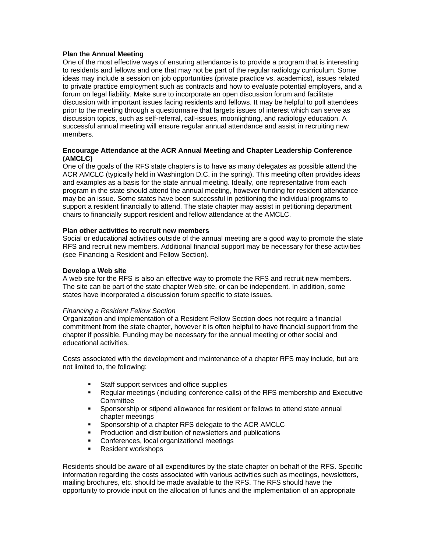## **Plan the Annual Meeting**

One of the most effective ways of ensuring attendance is to provide a program that is interesting to residents and fellows and one that may not be part of the regular radiology curriculum. Some ideas may include a session on job opportunities (private practice vs. academics), issues related to private practice employment such as contracts and how to evaluate potential employers, and a forum on legal liability. Make sure to incorporate an open discussion forum and facilitate discussion with important issues facing residents and fellows. It may be helpful to poll attendees prior to the meeting through a questionnaire that targets issues of interest which can serve as discussion topics, such as self-referral, call-issues, moonlighting, and radiology education. A successful annual meeting will ensure regular annual attendance and assist in recruiting new members.

### **Encourage Attendance at the ACR Annual Meeting and Chapter Leadership Conference (AMCLC)**

One of the goals of the RFS state chapters is to have as many delegates as possible attend the ACR AMCLC (typically held in Washington D.C. in the spring). This meeting often provides ideas and examples as a basis for the state annual meeting. Ideally, one representative from each program in the state should attend the annual meeting, however funding for resident attendance may be an issue. Some states have been successful in petitioning the individual programs to support a resident financially to attend. The state chapter may assist in petitioning department chairs to financially support resident and fellow attendance at the AMCLC.

### **Plan other activities to recruit new members**

Social or educational activities outside of the annual meeting are a good way to promote the state RFS and recruit new members. Additional financial support may be necessary for these activities (see Financing a Resident and Fellow Section).

### **Develop a Web site**

A web site for the RFS is also an effective way to promote the RFS and recruit new members. The site can be part of the state chapter Web site, or can be independent. In addition, some states have incorporated a discussion forum specific to state issues.

### *Financing a Resident Fellow Section*

Organization and implementation of a Resident Fellow Section does not require a financial commitment from the state chapter, however it is often helpful to have financial support from the chapter if possible. Funding may be necessary for the annual meeting or other social and educational activities.

Costs associated with the development and maintenance of a chapter RFS may include, but are not limited to, the following:

- **Staff support services and office supplies**
- Regular meetings (including conference calls) of the RFS membership and Executive **Committee**
- Sponsorship or stipend allowance for resident or fellows to attend state annual chapter meetings
- **Sponsorship of a chapter RFS delegate to the ACR AMCLC**
- **Production and distribution of newsletters and publications**
- **Conferences, local organizational meetings**
- **Resident workshops**

Residents should be aware of all expenditures by the state chapter on behalf of the RFS. Specific information regarding the costs associated with various activities such as meetings, newsletters, mailing brochures, etc. should be made available to the RFS. The RFS should have the opportunity to provide input on the allocation of funds and the implementation of an appropriate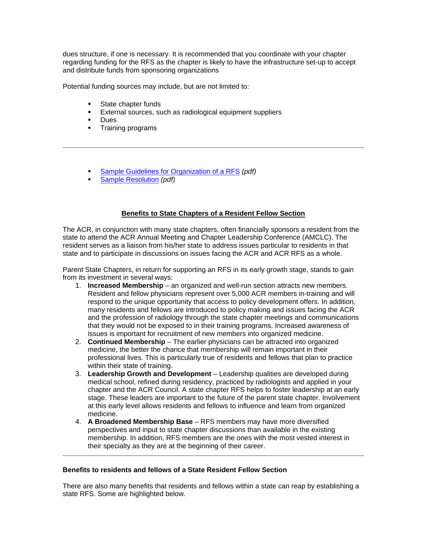dues structure, if one is necessary. It is recommended that you coordinate with your chapter regarding funding for the RFS as the chapter is likely to have the infrastructure set-up to accept and distribute funds from sponsoring organizations

Potential funding sources may include, but are not limited to:

- **State chapter funds**
- **External sources, such as radiological equipment suppliers**
- Dues
- **Training programs**
- [Sample Guidelines for Organization of a RFS](http://rfs.acr.org/pdf/guidelines.pdf) *(pdf)*
- [Sample Resolution](http://rfs.acr.org/pdf/resolution.pdf) *(pdf)*

## **Benefits to State Chapters of a Resident Fellow Section**

<span id="page-3-0"></span>The ACR, in conjunction with many state chapters, often financially sponsors a resident from the state to attend the ACR Annual Meeting and Chapter Leadership Conference (AMCLC). The resident serves as a liaison from his/her state to address issues particular to residents in that state and to participate in discussions on issues facing the ACR and ACR RFS as a whole.

Parent State Chapters, in return for supporting an RFS in its early growth stage, stands to gain from its investment in several ways:

- 1. **Increased Membership** an organized and well-run section attracts new members. Resident and fellow physicians represent over 5,000 ACR members in-training and will respond to the unique opportunity that access to policy development offers. In addition, many residents and fellows are introduced to policy making and issues facing the ACR and the profession of radiology through the state chapter meetings and communications that they would not be exposed to in their training programs. Increased awareness of issues is important for recruitment of new members into organized medicine.
- 2. **Continued Membership** The earlier physicians can be attracted into organized medicine, the better the chance that membership will remain important in their professional lives. This is particularly true of residents and fellows that plan to practice within their state of training.
- 3. **Leadership Growth and Development** Leadership qualities are developed during medical school, refined during residency, practiced by radiologists and applied in your chapter and the ACR Council. A state chapter RFS helps to foster leadership at an early stage. These leaders are important to the future of the parent state chapter. Involvement at this early level allows residents and fellows to influence and learn from organized medicine.
- 4. **A Broadened Membership Base** RFS members may have more diversified perspectives and input to state chapter discussions than available in the existing membership. In addition, RFS members are the ones with the most vested interest in their specialty as they are at the beginning of their career.

### **Benefits to residents and fellows of a State Resident Fellow Section**

There are also many benefits that residents and fellows within a state can reap by establishing a state RFS. Some are highlighted below.